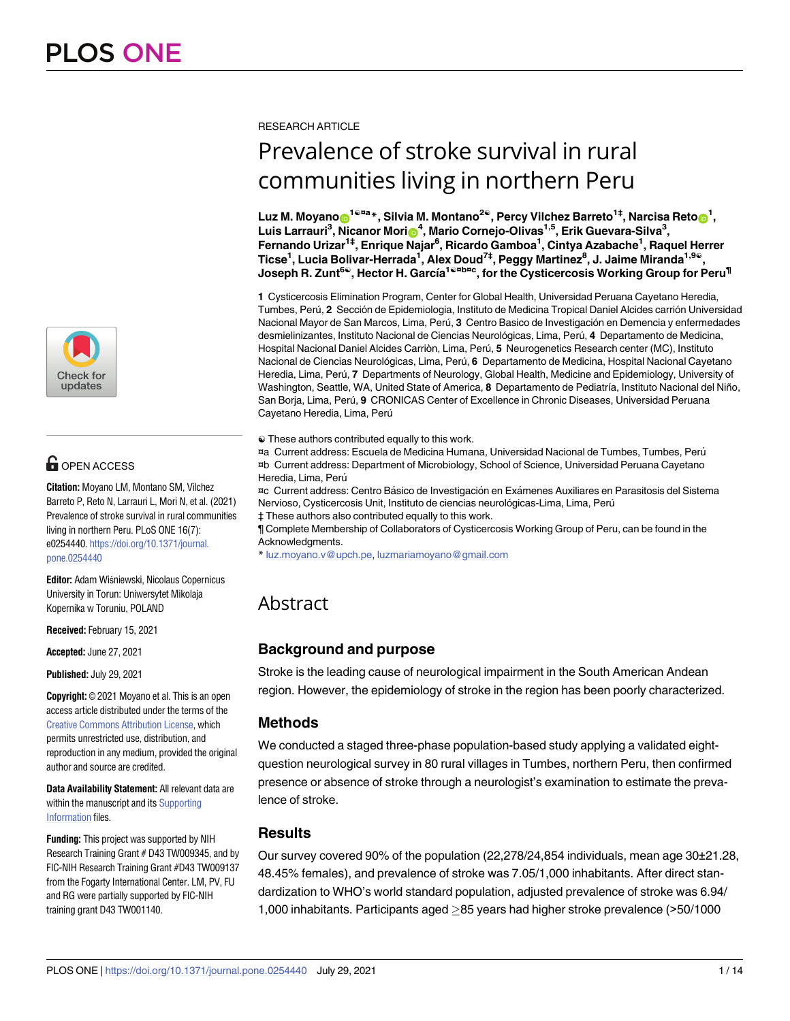

# $\blacksquare$  OPEN ACCESS

**Citation:** Moyano LM, Montano SM, Vilchez Barreto P, Reto N, Larrauri L, Mori N, et al. (2021) Prevalence of stroke survival in rural communities living in northern Peru. PLoS ONE 16(7): e0254440. [https://doi.org/10.1371/journal.](https://doi.org/10.1371/journal.pone.0254440) [pone.0254440](https://doi.org/10.1371/journal.pone.0254440)

**Editor:** Adam Wiśniewski, Nicolaus Copernicus University in Torun: Uniwersytet Mikolaja Kopernika w Toruniu, POLAND

**Received:** February 15, 2021

**Accepted:** June 27, 2021

**Published:** July 29, 2021

**Copyright:** © 2021 Moyano et al. This is an open access article distributed under the terms of the Creative Commons [Attribution](http://creativecommons.org/licenses/by/4.0/) License, which permits unrestricted use, distribution, and reproduction in any medium, provided the original author and source are credited.

**Data Availability Statement:** All relevant data are within the manuscript and its [Supporting](#page-10-0) [Information](#page-10-0) files.

**Funding:** This project was supported by NIH Research Training Grant # D43 TW009345, and by FIC-NIH Research Training Grant #D43 TW009137 from the Fogarty International Center. LM, PV, FU and RG were partially supported by FIC-NIH training grant D43 TW001140.

#### RESEARCH ARTICLE

# Prevalence of stroke survival in rural communities living in northern Peru

Luz M. Moyano⋒<sup>1ଢ¤a</sup>\*, Silvia M. Montano<sup>2ଢ</sup>, Percy Vilchez Barreto<sup>1‡</sup>, Narcisa Reto⋒<sup>1</sup>,  $L$ uis Larrauri<sup>3</sup>, Nicanor Mori $\mathbf{\Theta}^{4}$ , Mario Cornejo-Olivas<sup>1,5</sup>, Erik Guevara-Silva<sup>3</sup>, **Fernando Urizar1‡, Enrique Najar6 , Ricardo Gamboa1 , Cintya Azabache1 , Raquel Herrer**  $\textsf{Ticse}^1$ , Lucia Bolivar-Herrada<sup>1</sup>, Alex Doud<sup>7‡</sup>, Peggy Martinez<sup>8</sup>, J. Jaime Miranda<sup>1,9©</sup>, Joseph R. Zunt<sup>6©</sup>, Hector H. García<sup>1©¤b¤c</sup>, for the Cysticercosis Working Group for Peru<sup>¶</sup>

**1** Cysticercosis Elimination Program, Center for Global Health, Universidad Peruana Cayetano Heredia, Tumbes, Perú, 2 Sección de Epidemiologia, Instituto de Medicina Tropical Daniel Alcides carrión Universidad Nacional Mayor de San Marcos, Lima, Perú, 3 Centro Basico de Investigación en Demencia y enfermedades desmielinizantes, Instituto Nacional de Ciencias Neurológicas, Lima, Perú, 4 Departamento de Medicina, Hospital Nacional Daniel Alcides Carriòn, Lima, Perú, 5 Neurogenetics Research center (MC), Instituto Nacional de Ciencias Neurológicas, Lima, Perú, 6 Departamento de Medicina, Hospital Nacional Cayetano Heredia, Lima, Perú, 7 Departments of Neurology, Global Health, Medicine and Epidemiology, University of Washington, Seattle, WA, United State of America, 8 Departamento de Pediatría, Instituto Nacional del Niño, San Borja, Lima, Perú, 9 CRONICAS Center of Excellence in Chronic Diseases, Universidad Peruana Cayetano Heredia, Lima, Perú

☯ These authors contributed equally to this work.

¤a Current address: Escuela de Medicina Humana, Universidad Nacional de Tumbes, Tumbes, Peru´ ¤b Current address: Department of Microbiology, School of Science, Universidad Peruana Cayetano Heredia, Lima, Perú

¤c Current address: Centro Básico de Investigación en Exámenes Auxiliares en Parasitosis del Sistema Nervioso, Cysticercosis Unit, Instituto de ciencias neurológicas-Lima, Lima, Perú

‡ These authors also contributed equally to this work.

¶ Complete Membership of Collaborators of Cysticercosis Working Group of Peru, can be found in the Acknowledgments.

\* luz.moyano.v@upch.pe, luzmariamoyano@gmail.com

# Abstract

# **Background and purpose**

Stroke is the leading cause of neurological impairment in the South American Andean region. However, the epidemiology of stroke in the region has been poorly characterized.

# **Methods**

We conducted a staged three-phase population-based study applying a validated eightquestion neurological survey in 80 rural villages in Tumbes, northern Peru, then confirmed presence or absence of stroke through a neurologist's examination to estimate the prevalence of stroke.

# **Results**

Our survey covered 90% of the population (22,278/24,854 individuals, mean age 30±21.28, 48.45% females), and prevalence of stroke was 7.05/1,000 inhabitants. After direct standardization to WHO's world standard population, adjusted prevalence of stroke was 6.94/ 1,000 inhabitants. Participants aged  $\geq$ 85 years had higher stroke prevalence ( $>$ 50/1000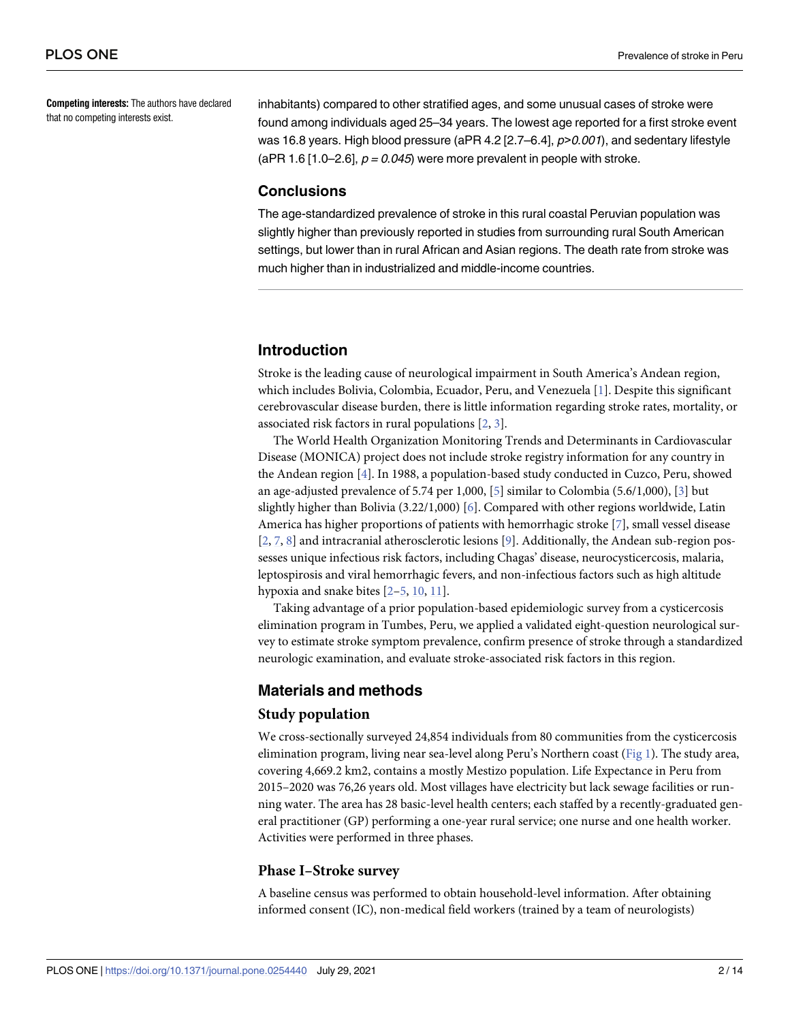<span id="page-1-0"></span>**Competing interests:** The authors have declared that no competing interests exist.

inhabitants) compared to other stratified ages, and some unusual cases of stroke were found among individuals aged 25–34 years. The lowest age reported for a first stroke event was 16.8 years. High blood pressure (aPR 4.2 [2.7–6.4], p*>*0.001), and sedentary lifestyle (aPR 1.6 [1.0–2.6],  $p = 0.045$ ) were more prevalent in people with stroke.

# **Conclusions**

The age-standardized prevalence of stroke in this rural coastal Peruvian population was slightly higher than previously reported in studies from surrounding rural South American settings, but lower than in rural African and Asian regions. The death rate from stroke was much higher than in industrialized and middle-income countries.

# **Introduction**

Stroke is the leading cause of neurological impairment in South America's Andean region, which includes Bolivia, Colombia, Ecuador, Peru, and Venezuela [[1](#page-11-0)]. Despite this significant cerebrovascular disease burden, there is little information regarding stroke rates, mortality, or associated risk factors in rural populations [[2](#page-11-0), [3\]](#page-11-0).

The World Health Organization Monitoring Trends and Determinants in Cardiovascular Disease (MONICA) project does not include stroke registry information for any country in the Andean region [\[4\]](#page-11-0). In 1988, a population-based study conducted in Cuzco, Peru, showed an age-adjusted prevalence of 5.74 per 1,000, [[5](#page-12-0)] similar to Colombia (5.6/1,000), [[3\]](#page-11-0) but slightly higher than Bolivia (3.22/1,000) [\[6](#page-12-0)]. Compared with other regions worldwide, Latin America has higher proportions of patients with hemorrhagic stroke [\[7](#page-12-0)], small vessel disease [\[2](#page-11-0), [7](#page-12-0), [8\]](#page-12-0) and intracranial atherosclerotic lesions [[9\]](#page-12-0). Additionally, the Andean sub-region possesses unique infectious risk factors, including Chagas' disease, neurocysticercosis, malaria, leptospirosis and viral hemorrhagic fevers, and non-infectious factors such as high altitude hypoxia and snake bites [\[2](#page-11-0)[–5,](#page-12-0) [10,](#page-12-0) [11\]](#page-12-0).

Taking advantage of a prior population-based epidemiologic survey from a cysticercosis elimination program in Tumbes, Peru, we applied a validated eight-question neurological survey to estimate stroke symptom prevalence, confirm presence of stroke through a standardized neurologic examination, and evaluate stroke-associated risk factors in this region.

### **Materials and methods**

#### **Study population**

We cross-sectionally surveyed 24,854 individuals from 80 communities from the cysticercosis elimination program, living near sea-level along Peru's Northern coast [\(Fig](#page-2-0) 1). The study area, covering 4,669.2 km2, contains a mostly Mestizo population. Life Expectance in Peru from 2015–2020 was 76,26 years old. Most villages have electricity but lack sewage facilities or running water. The area has 28 basic-level health centers; each staffed by a recently-graduated general practitioner (GP) performing a one-year rural service; one nurse and one health worker. Activities were performed in three phases.

#### **Phase I–Stroke survey**

A baseline census was performed to obtain household-level information. After obtaining informed consent (IC), non-medical field workers (trained by a team of neurologists)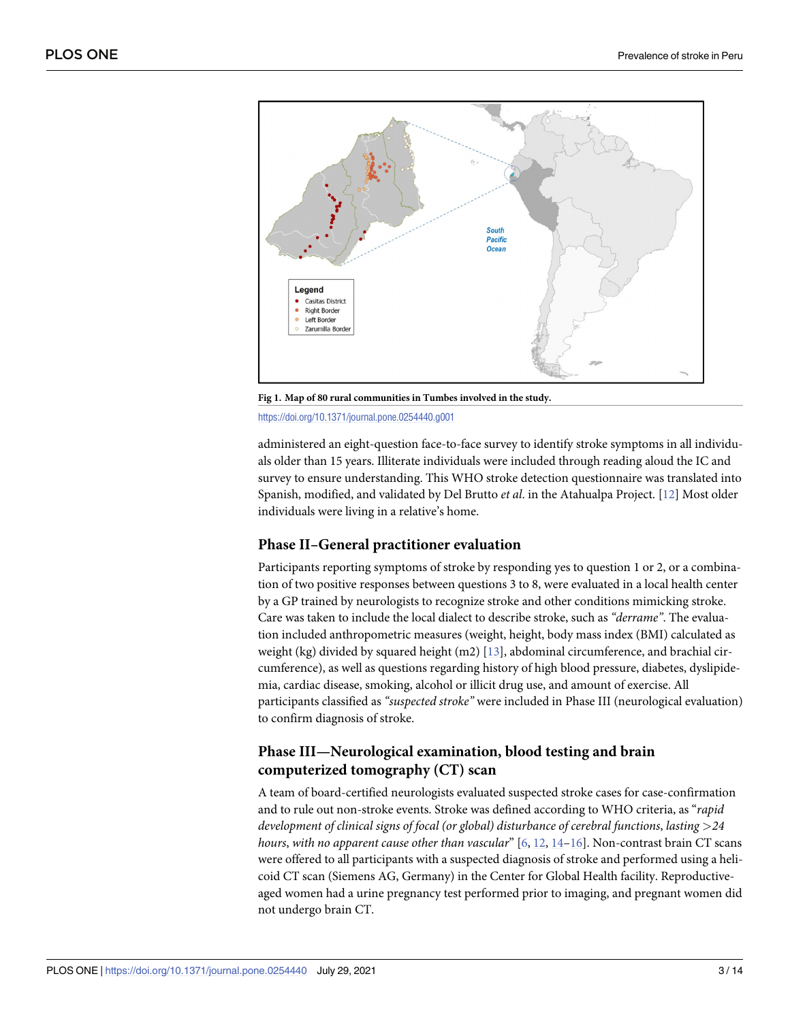<span id="page-2-0"></span>

**[Fig](#page-1-0) 1. Map of 80 rural communities in Tumbes involved in the study.**

<https://doi.org/10.1371/journal.pone.0254440.g001>

administered an eight-question face-to-face survey to identify stroke symptoms in all individuals older than 15 years. Illiterate individuals were included through reading aloud the IC and survey to ensure understanding. This WHO stroke detection questionnaire was translated into Spanish, modified, and validated by Del Brutto *et al*. in the Atahualpa Project. [[12](#page-12-0)] Most older individuals were living in a relative's home.

#### **Phase II–General practitioner evaluation**

Participants reporting symptoms of stroke by responding yes to question 1 or 2, or a combination of two positive responses between questions 3 to 8, were evaluated in a local health center by a GP trained by neurologists to recognize stroke and other conditions mimicking stroke. Care was taken to include the local dialect to describe stroke, such as *"derrame"*. The evaluation included anthropometric measures (weight, height, body mass index (BMI) calculated as weight (kg) divided by squared height (m2) [[13](#page-12-0)], abdominal circumference, and brachial circumference), as well as questions regarding history of high blood pressure, diabetes, dyslipidemia, cardiac disease, smoking, alcohol or illicit drug use, and amount of exercise. All participants classified as *"suspected stroke"* were included in Phase III (neurological evaluation) to confirm diagnosis of stroke.

# **Phase III—Neurological examination, blood testing and brain computerized tomography (CT) scan**

A team of board-certified neurologists evaluated suspected stroke cases for case-confirmation and to rule out non-stroke events. Stroke was defined according to WHO criteria, as "*rapid development of clinical signs of focal (or global) disturbance of cerebral functions*, *lasting >24 hours*, *with no apparent cause other than vascular*" [\[6,](#page-12-0) [12,](#page-12-0) [14–16\]](#page-12-0). Non-contrast brain CT scans were offered to all participants with a suspected diagnosis of stroke and performed using a helicoid CT scan (Siemens AG, Germany) in the Center for Global Health facility. Reproductiveaged women had a urine pregnancy test performed prior to imaging, and pregnant women did not undergo brain CT.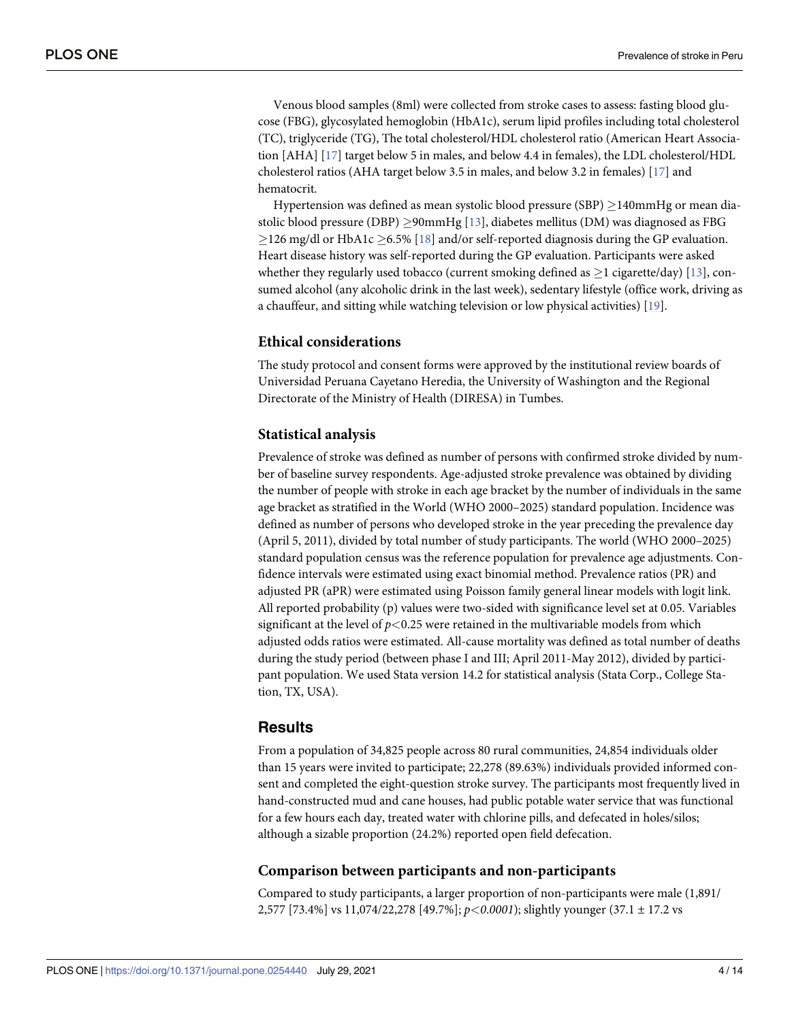<span id="page-3-0"></span>Venous blood samples (8ml) were collected from stroke cases to assess: fasting blood glucose (FBG), glycosylated hemoglobin (HbA1c), serum lipid profiles including total cholesterol (TC), triglyceride (TG), The total cholesterol/HDL cholesterol ratio (American Heart Association [AHA] [\[17\]](#page-12-0) target below 5 in males, and below 4.4 in females), the LDL cholesterol/HDL cholesterol ratios (AHA target below 3.5 in males, and below 3.2 in females) [\[17\]](#page-12-0) and hematocrit.

Hypertension was defined as mean systolic blood pressure (SBP)  $\geq$ 140mmHg or mean diastolic blood pressure (DBP)  $\geq$ 90mmHg [\[13\]](#page-12-0), diabetes mellitus (DM) was diagnosed as FBG  $\geq$ 126 mg/dl or HbA1c  $\geq$ 6.5% [[18](#page-12-0)] and/or self-reported diagnosis during the GP evaluation. Heart disease history was self-reported during the GP evaluation. Participants were asked whether they regularly used tobacco (current smoking defined as  $\geq 1$  cigarette/day) [\[13\]](#page-12-0), consumed alcohol (any alcoholic drink in the last week), sedentary lifestyle (office work, driving as a chauffeur, and sitting while watching television or low physical activities) [\[19\]](#page-12-0).

#### **Ethical considerations**

The study protocol and consent forms were approved by the institutional review boards of Universidad Peruana Cayetano Heredia, the University of Washington and the Regional Directorate of the Ministry of Health (DIRESA) in Tumbes.

#### **Statistical analysis**

Prevalence of stroke was defined as number of persons with confirmed stroke divided by number of baseline survey respondents. Age-adjusted stroke prevalence was obtained by dividing the number of people with stroke in each age bracket by the number of individuals in the same age bracket as stratified in the World (WHO 2000–2025) standard population. Incidence was defined as number of persons who developed stroke in the year preceding the prevalence day (April 5, 2011), divided by total number of study participants. The world (WHO 2000–2025) standard population census was the reference population for prevalence age adjustments. Confidence intervals were estimated using exact binomial method. Prevalence ratios (PR) and adjusted PR (aPR) were estimated using Poisson family general linear models with logit link. All reported probability (p) values were two-sided with significance level set at 0.05. Variables significant at the level of *p<*0.25 were retained in the multivariable models from which adjusted odds ratios were estimated. All-cause mortality was defined as total number of deaths during the study period (between phase I and III; April 2011-May 2012), divided by participant population. We used Stata version 14.2 for statistical analysis (Stata Corp., College Station, TX, USA).

#### **Results**

From a population of 34,825 people across 80 rural communities, 24,854 individuals older than 15 years were invited to participate; 22,278 (89.63%) individuals provided informed consent and completed the eight-question stroke survey. The participants most frequently lived in hand-constructed mud and cane houses, had public potable water service that was functional for a few hours each day, treated water with chlorine pills, and defecated in holes/silos; although a sizable proportion (24.2%) reported open field defecation.

#### **Comparison between participants and non-participants**

Compared to study participants, a larger proportion of non-participants were male (1,891/ 2,577 [73.4%] vs 11,074/22,278 [49.7%]; *p<0*.*0001*); slightly younger (37.1 ± 17.2 vs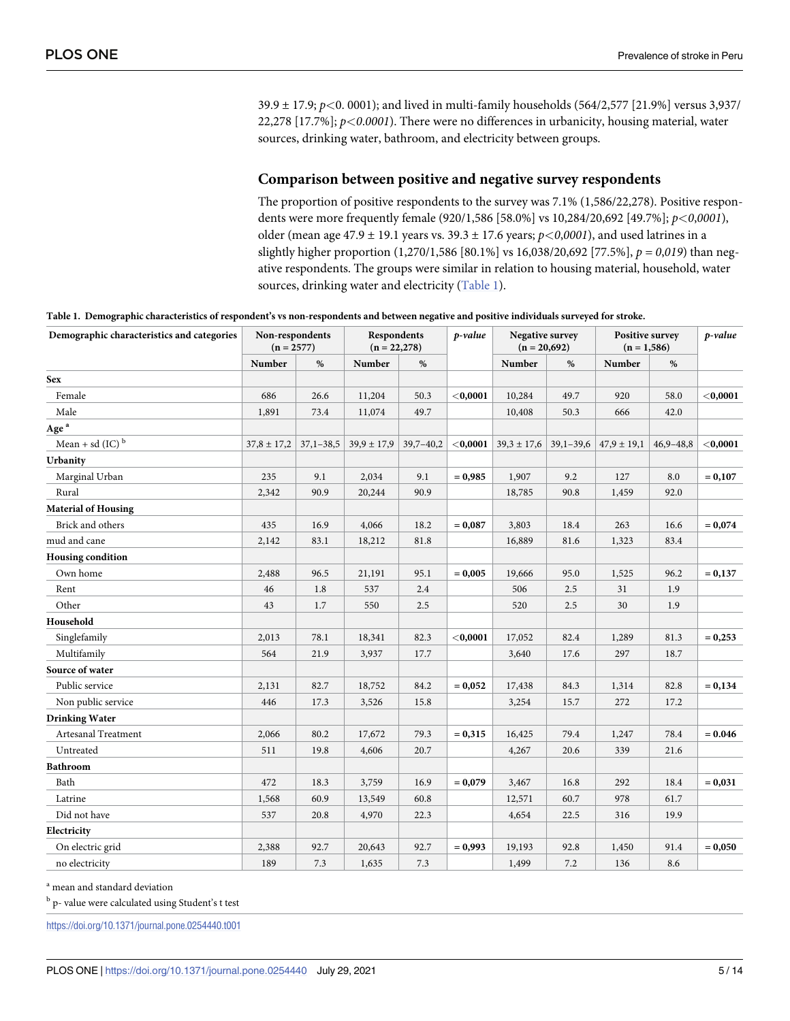39.9 ± 17.9; *p<*0. 0001); and lived in multi-family households (564/2,577 [21.9%] versus 3,937/ 22,278 [17.7%]; *p<0*.*0001*). There were no differences in urbanicity, housing material, water sources, drinking water, bathroom, and electricity between groups.

#### **Comparison between positive and negative survey respondents**

The proportion of positive respondents to the survey was 7.1% (1,586/22,278). Positive respondents were more frequently female (920/1,586 [58.0%] vs 10,284/20,692 [49.7%]; *p<0*,*0001*), older (mean age 47.9 ± 19.1 years vs. 39.3 ± 17.6 years; *p<0*,*0001*), and used latrines in a slightly higher proportion (1,270/1,586 [80.1%] vs 16,038/20,692 [77.5%], *p = 0*,*019*) than negative respondents. The groups were similar in relation to housing material, household, water sources, drinking water and electricity (Table 1).

Table 1. Demographic characteristics of respondent's vs non-respondents and between negative and positive individuals surveyed for stroke.

| Demographic characteristics and categories | Non-respondents<br>$(n = 2577)$ |             | <b>Respondents</b><br>$(n = 22,278)$ |               | p-value     | Negative survey<br>$(n = 20,692)$ |               | <b>Positive survey</b><br>$(n = 1,586)$ |               | p-value     |
|--------------------------------------------|---------------------------------|-------------|--------------------------------------|---------------|-------------|-----------------------------------|---------------|-----------------------------------------|---------------|-------------|
|                                            | Number                          | $\%$        | Number                               | $\%$          |             | Number                            | $\%$          | Number                                  | $\%$          |             |
| <b>Sex</b>                                 |                                 |             |                                      |               |             |                                   |               |                                         |               |             |
| Female                                     | 686                             | 26.6        | 11,204                               | 50.3          | $<$ 0,0001  | 10,284                            | 49.7          | 920                                     | 58.0          | ${<}0,0001$ |
| Male                                       | 1,891                           | 73.4        | 11,074                               | 49.7          |             | 10,408                            | 50.3          | 666                                     | 42.0          |             |
| $\mathbf{Age}^{\,\mathrm{a}}$              |                                 |             |                                      |               |             |                                   |               |                                         |               |             |
| Mean + sd (IC) $^{\rm b}$                  | $37,8 \pm 17,2$                 | $37,1-38,5$ | $39,9 \pm 17,9$                      | $39,7 - 40,2$ | ${<}0,0001$ | $39,3 \pm 17,6$                   | $39,1 - 39,6$ | $47,9 \pm 19,1$                         | $46,9 - 48,8$ | ${<}0,0001$ |
| Urbanity                                   |                                 |             |                                      |               |             |                                   |               |                                         |               |             |
| Marginal Urban                             | 235                             | 9.1         | 2,034                                | 9.1           | $= 0,985$   | 1,907                             | 9.2           | 127                                     | 8.0           | $= 0,107$   |
| Rural                                      | 2,342                           | 90.9        | 20,244                               | 90.9          |             | 18,785                            | 90.8          | 1,459                                   | 92.0          |             |
| <b>Material of Housing</b>                 |                                 |             |                                      |               |             |                                   |               |                                         |               |             |
| Brick and others                           | 435                             | 16.9        | 4,066                                | 18.2          | $= 0,087$   | 3,803                             | 18.4          | 263                                     | 16.6          | $= 0,074$   |
| mud and cane                               | 2,142                           | 83.1        | 18,212                               | 81.8          |             | 16,889                            | 81.6          | 1,323                                   | 83.4          |             |
| <b>Housing condition</b>                   |                                 |             |                                      |               |             |                                   |               |                                         |               |             |
| Own home                                   | 2,488                           | 96.5        | 21,191                               | 95.1          | $= 0,005$   | 19,666                            | 95.0          | 1,525                                   | 96.2          | $= 0,137$   |
| Rent                                       | 46                              | 1.8         | 537                                  | 2.4           |             | 506                               | 2.5           | 31                                      | 1.9           |             |
| Other                                      | 43                              | 1.7         | 550                                  | 2.5           |             | 520                               | 2.5           | 30                                      | 1.9           |             |
| Household                                  |                                 |             |                                      |               |             |                                   |               |                                         |               |             |
| Singlefamily                               | 2,013                           | 78.1        | 18,341                               | 82.3          | $<$ 0,0001  | 17,052                            | 82.4          | 1,289                                   | 81.3          | $= 0,253$   |
| Multifamily                                | 564                             | 21.9        | 3,937                                | 17.7          |             | 3,640                             | 17.6          | 297                                     | 18.7          |             |
| Source of water                            |                                 |             |                                      |               |             |                                   |               |                                         |               |             |
| Public service                             | 2,131                           | 82.7        | 18,752                               | 84.2          | $= 0,052$   | 17,438                            | 84.3          | 1,314                                   | 82.8          | $= 0,134$   |
| Non public service                         | 446                             | 17.3        | 3,526                                | 15.8          |             | 3,254                             | 15.7          | 272                                     | 17.2          |             |
| <b>Drinking Water</b>                      |                                 |             |                                      |               |             |                                   |               |                                         |               |             |
| Artesanal Treatment                        | 2,066                           | 80.2        | 17,672                               | 79.3          | $= 0,315$   | 16,425                            | 79.4          | 1,247                                   | 78.4          | $= 0.046$   |
| Untreated                                  | 511                             | 19.8        | 4,606                                | 20.7          |             | 4,267                             | 20.6          | 339                                     | 21.6          |             |
| Bathroom                                   |                                 |             |                                      |               |             |                                   |               |                                         |               |             |
| Bath                                       | 472                             | 18.3        | 3,759                                | 16.9          | $= 0,079$   | 3,467                             | 16.8          | 292                                     | 18.4          | $= 0,031$   |
| Latrine                                    | 1,568                           | 60.9        | 13,549                               | 60.8          |             | 12,571                            | 60.7          | 978                                     | 61.7          |             |
| Did not have                               | 537                             | 20.8        | 4,970                                | 22.3          |             | 4,654                             | 22.5          | 316                                     | 19.9          |             |
| Electricity                                |                                 |             |                                      |               |             |                                   |               |                                         |               |             |
| On electric grid                           | 2,388                           | 92.7        | 20,643                               | 92.7          | $= 0,993$   | 19,193                            | 92.8          | 1,450                                   | 91.4          | $= 0,050$   |
| no electricity                             | 189                             | 7.3         | 1,635                                | 7.3           |             | 1,499                             | 7.2           | 136                                     | 8.6           |             |

<sup>a</sup> mean and standard deviation

<sup>b</sup> p- value were calculated using Student's t test

<https://doi.org/10.1371/journal.pone.0254440.t001>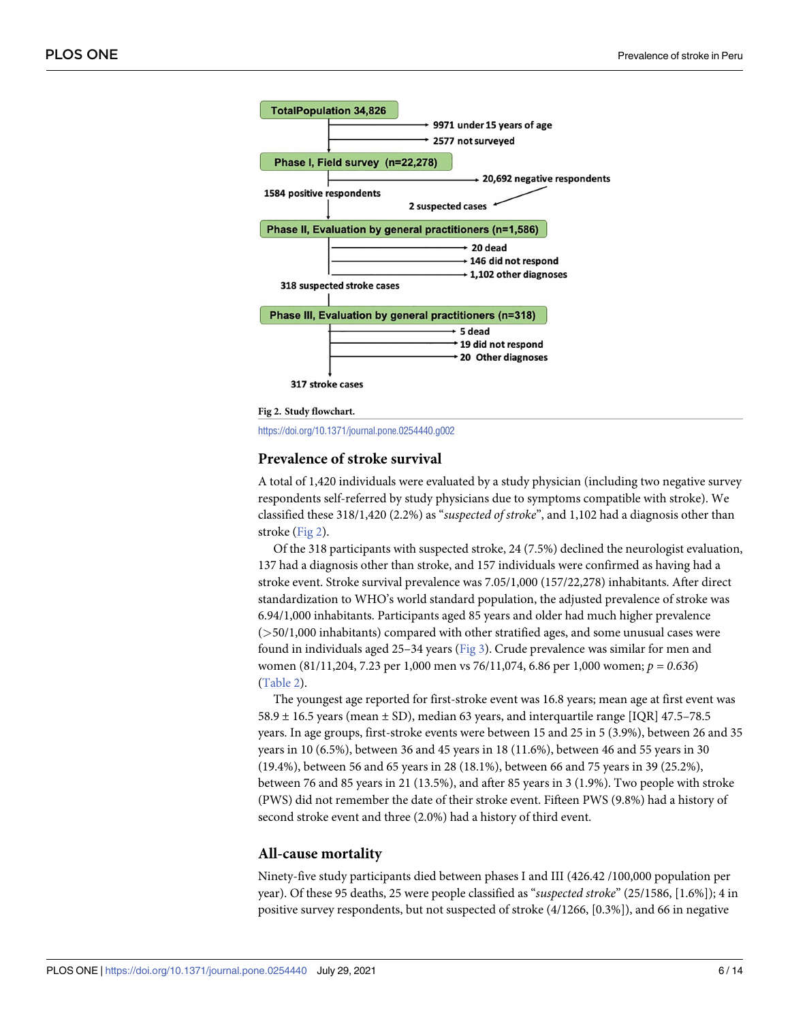<span id="page-5-0"></span>

**Fig 2. Study flowchart.**

<https://doi.org/10.1371/journal.pone.0254440.g002>

#### **Prevalence of stroke survival**

A total of 1,420 individuals were evaluated by a study physician (including two negative survey respondents self-referred by study physicians due to symptoms compatible with stroke). We classified these 318/1,420 (2.2%) as "*suspected of stroke*", and 1,102 had a diagnosis other than stroke (Fig 2).

Of the 318 participants with suspected stroke, 24 (7.5%) declined the neurologist evaluation, 137 had a diagnosis other than stroke, and 157 individuals were confirmed as having had a stroke event. Stroke survival prevalence was 7.05/1,000 (157/22,278) inhabitants. After direct standardization to WHO's world standard population, the adjusted prevalence of stroke was 6.94/1,000 inhabitants. Participants aged 85 years and older had much higher prevalence (*>*50/1,000 inhabitants) compared with other stratified ages, and some unusual cases were found in individuals aged 25–34 years [\(Fig](#page-6-0) 3). Crude prevalence was similar for men and women (81/11,204, 7.23 per 1,000 men vs 76/11,074, 6.86 per 1,000 women; *p = 0*.*636*) [\(Table](#page-7-0) 2).

The youngest age reported for first-stroke event was 16.8 years; mean age at first event was 58.9  $\pm$  16.5 years (mean  $\pm$  SD), median 63 years, and interquartile range [IQR] 47.5–78.5 years. In age groups, first-stroke events were between 15 and 25 in 5 (3.9%), between 26 and 35 years in 10 (6.5%), between 36 and 45 years in 18 (11.6%), between 46 and 55 years in 30 (19.4%), between 56 and 65 years in 28 (18.1%), between 66 and 75 years in 39 (25.2%), between 76 and 85 years in 21 (13.5%), and after 85 years in 3 (1.9%). Two people with stroke (PWS) did not remember the date of their stroke event. Fifteen PWS (9.8%) had a history of second stroke event and three (2.0%) had a history of third event.

#### **All-cause mortality**

Ninety-five study participants died between phases I and III (426.42 /100,000 population per year). Of these 95 deaths, 25 were people classified as "*suspected stroke*" (25/1586, [1.6%]); 4 in positive survey respondents, but not suspected of stroke (4/1266, [0.3%]), and 66 in negative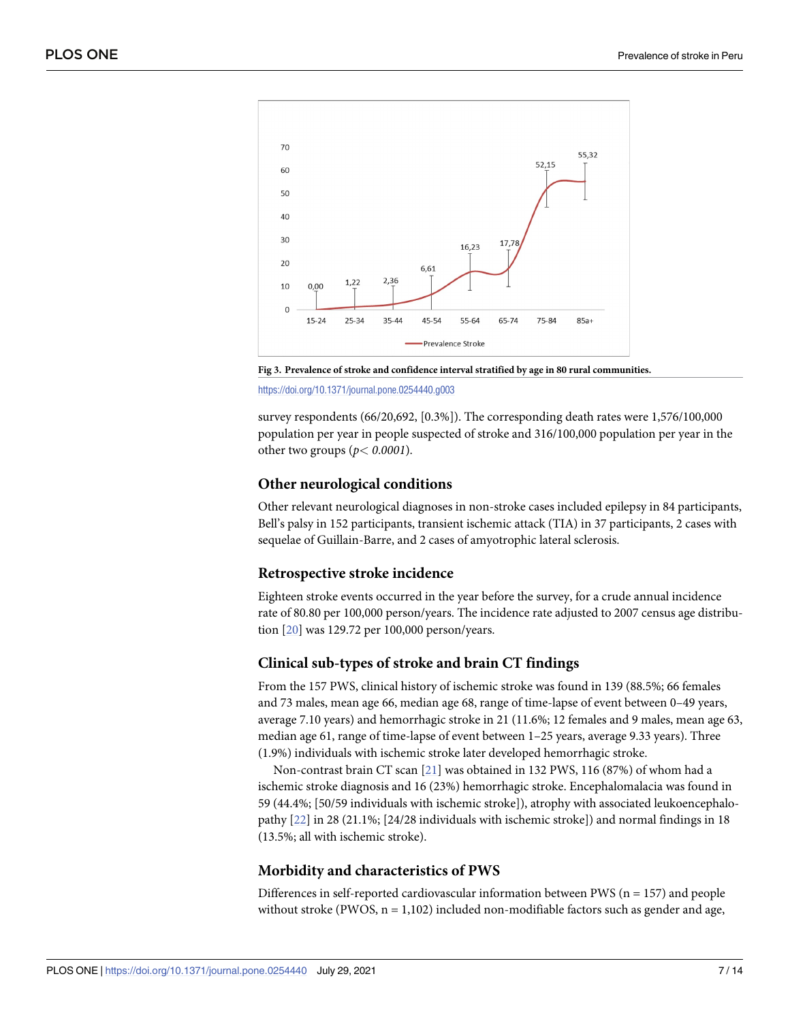<span id="page-6-0"></span>

**[Fig](#page-5-0) 3. Prevalence of stroke and confidence interval stratified by age in 80 rural communities.**

<https://doi.org/10.1371/journal.pone.0254440.g003>

survey respondents (66/20,692, [0.3%]). The corresponding death rates were 1,576/100,000 population per year in people suspected of stroke and 316/100,000 population per year in the other two groups (*p< 0*.*0001*).

#### **Other neurological conditions**

Other relevant neurological diagnoses in non-stroke cases included epilepsy in 84 participants, Bell's palsy in 152 participants, transient ischemic attack (TIA) in 37 participants, 2 cases with sequelae of Guillain-Barre, and 2 cases of amyotrophic lateral sclerosis.

#### **Retrospective stroke incidence**

Eighteen stroke events occurred in the year before the survey, for a crude annual incidence rate of 80.80 per 100,000 person/years. The incidence rate adjusted to 2007 census age distribution [[20](#page-12-0)] was 129.72 per 100,000 person/years.

#### **Clinical sub-types of stroke and brain CT findings**

From the 157 PWS, clinical history of ischemic stroke was found in 139 (88.5%; 66 females and 73 males, mean age 66, median age 68, range of time-lapse of event between 0–49 years, average 7.10 years) and hemorrhagic stroke in 21 (11.6%; 12 females and 9 males, mean age 63, median age 61, range of time-lapse of event between 1–25 years, average 9.33 years). Three (1.9%) individuals with ischemic stroke later developed hemorrhagic stroke.

Non-contrast brain CT scan [[21](#page-12-0)] was obtained in 132 PWS, 116 (87%) of whom had a ischemic stroke diagnosis and 16 (23%) hemorrhagic stroke. Encephalomalacia was found in 59 (44.4%; [50/59 individuals with ischemic stroke]), atrophy with associated leukoencephalopathy [[22](#page-12-0)] in 28 (21.1%; [24/28 individuals with ischemic stroke]) and normal findings in 18 (13.5%; all with ischemic stroke).

#### **Morbidity and characteristics of PWS**

Differences in self-reported cardiovascular information between PWS ( $n = 157$ ) and people without stroke (PWOS,  $n = 1,102$ ) included non-modifiable factors such as gender and age,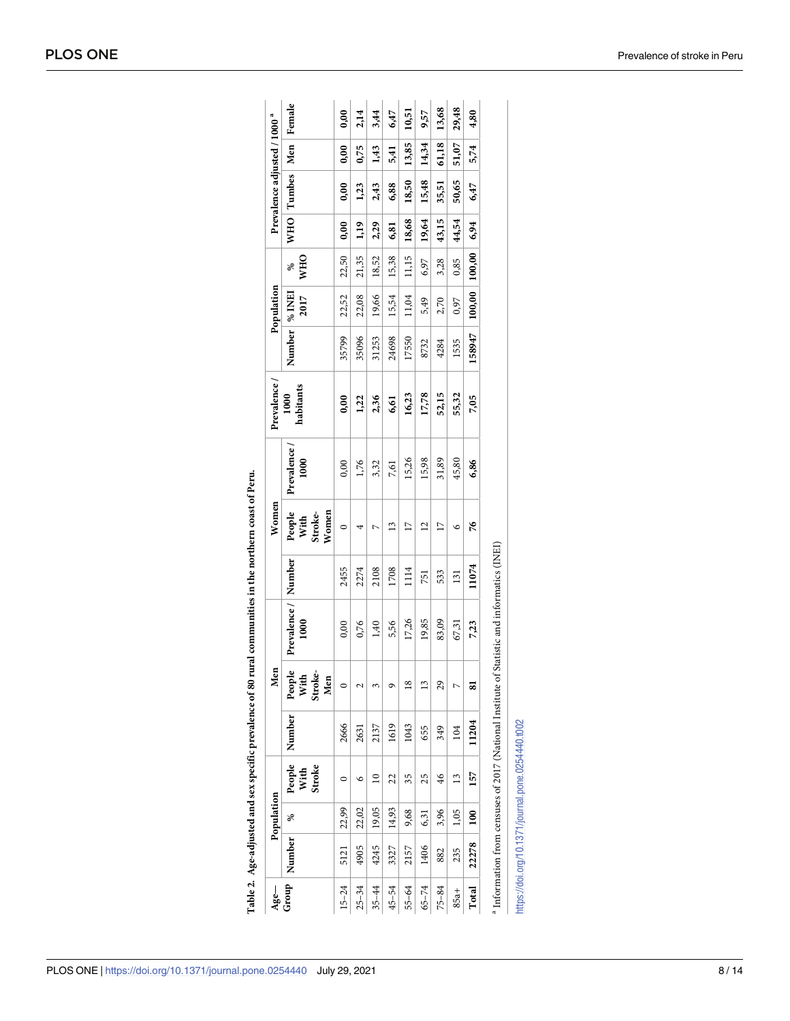| $Age-$    |        | Population |                |                                                                           | Men                              |                                  |        | Women                              |                    | Prevalence        |                 | Population |                 |       | Prevalence adjusted / 1000 <sup>a</sup> |       |        |
|-----------|--------|------------|----------------|---------------------------------------------------------------------------|----------------------------------|----------------------------------|--------|------------------------------------|--------------------|-------------------|-----------------|------------|-----------------|-------|-----------------------------------------|-------|--------|
| Group     | Number | S,         | With<br>Stroke | $\begin{tabular}{c} \bf{People} \end{tabular} {\bf Number} \end{tabular}$ | People<br>Stroke-<br>With<br>Men | Prevalence /<br>1000             | Number | People<br>With<br>Women<br>Stroke- | Prevalence<br>1000 | habitants<br>1000 | Number   % INEI | 2017       | <b>WHO</b><br>× |       | WHO Tumbes                              | Men   | Female |
| $15 - 24$ | 5121   | 22,99      | 0              | 2666                                                                      | $\circ$                          | 0,00                             | 2455   | $\circ$                            | 0,00               | 0,00              | 35799           | 22,52      | 22,50           | 0,00  | 0,00                                    | 0,00  | 0,00   |
| $25 - 34$ | 4905   | 22,02      | ৩              | 2631                                                                      | ∼                                | 0,76                             | 2274   | 4                                  | 1,76               | 1,22              | 35096           | 22,08      | 21,35           | 1,19  | 1,23                                    | 0,75  | 2,14   |
| $35 - 44$ | 4245   | 19,05      | $\overline{a}$ | 2137                                                                      | 3                                | 1,40                             | 2108   | ⊳                                  | 3,32               | 2,36              | 31253           | 19,66      | 18,52           | 2,29  | 2,43                                    | 1,43  | 3,44   |
| $45 - 54$ | 3327   | 14,93      | 22             | 1619                                                                      | ᡋ                                | 5,56                             | 1708   | $\tilde{1}$                        | 7,61               | 6,61              | 24698           | 15,54      | 15,38           | 6,81  | 6,88                                    | 5,41  | 6,47   |
| $55 - 64$ | 2157   | 9,68       | 35             | 1043                                                                      | $\frac{8}{1}$                    | 17,26                            | 1114   | $\overline{17}$                    | 15,26              | 16,23             | 17550           | 11,04      | 11,15           | 18,68 | 18,50                                   | 13,85 | 10,51  |
| $65 - 74$ | 1406   | 6,31       | 25             | 655                                                                       | J                                | 19,85                            | 751    | $\overline{c}$                     | 15,98              | 17,78             | 8732            | 5,49       | 6,97            | 19,64 | 15,48                                   | 14,34 | 9,57   |
| $75 - 84$ | 882    | 3,96       | $\frac{46}{5}$ | 349                                                                       | 29                               | 83,09                            | 533    | $\overline{1}$                     | 31,89              | 52,15             | 4284            | 2,70       | 3,28            | 43,15 | 35,51                                   | 61,18 | 13,68  |
| $85a +$   | 235    | 1,05       | $\frac{3}{2}$  | 104                                                                       | Ņ                                | 67,31                            | 131    | ७                                  | 45,80              | 55,32             | 1535            | 0,97       | 0,85            | 44,54 | 50,65                                   | 51,07 | 29,48  |
| Total     | 22278  | 100        | 157            | 11204                                                                     | ವ                                | 7,23                             | 11074  | 76                                 | 6,86               | 7,05              | 158947          | 100,00     | 100,00          | 6,94  | 6,47                                    | 5,74  | 4,80   |
|           |        |            |                | Information from censuses of 2017 (National Institute of                  |                                  | Statistic and informatics (INEI) |        |                                    |                    |                   |                 |            |                 |       |                                         |       |        |

Table 2. Age-adjusted and sex specific prevalence of 80 rural communities in the northern coast of Peru. **[Table](#page-5-0) 2. Age-adjusted and sex specific prevalence of 80 rural communities in the northern coast of Peru.**

https://doi.org/10.1371/journal.pone.0254440.t002

<https://doi.org/10.1371/journal.pone.0254440.t002>

<span id="page-7-0"></span>PLOS ONE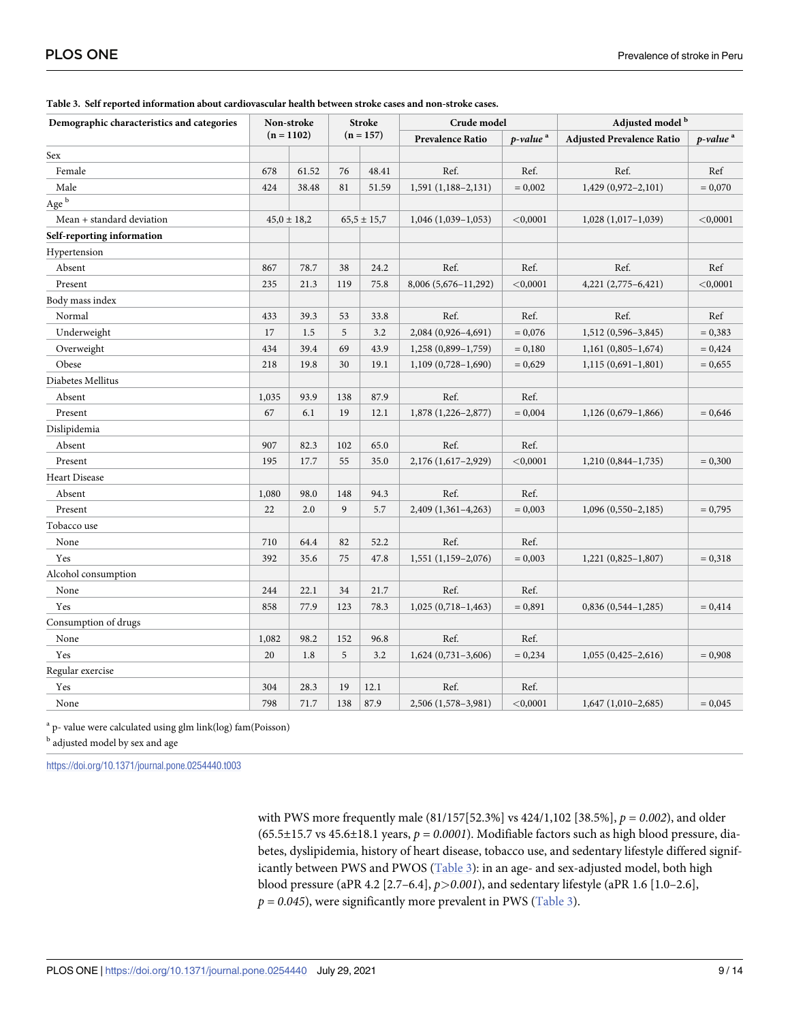| Demographic characteristics and categories |       | Non-stroke      |     | <b>Stroke</b>   |                                                 | Adjusted model <sup>b</sup><br>Crude model |                                  |                      |
|--------------------------------------------|-------|-----------------|-----|-----------------|-------------------------------------------------|--------------------------------------------|----------------------------------|----------------------|
|                                            |       | $(n = 1102)$    |     | $(n = 157)$     | <b>Prevalence Ratio</b><br>p-value <sup>a</sup> |                                            | <b>Adjusted Prevalence Ratio</b> | p-value <sup>a</sup> |
| Sex                                        |       |                 |     |                 |                                                 |                                            |                                  |                      |
| Female                                     | 678   | 61.52           | 76  | 48.41           | Ref.                                            | Ref.                                       | Ref.                             | Ref                  |
| Male                                       | 424   | 38.48           | 81  | 51.59           | $1,591(1,188-2,131)$                            | $= 0,002$                                  | 1,429 (0,972-2,101)              | $= 0,070$            |
| $\mathbf{Age}^{\:\mathrm{b}}$              |       |                 |     |                 |                                                 |                                            |                                  |                      |
| Mean + standard deviation                  |       | $45,0 \pm 18,2$ |     | $65,5 \pm 15,7$ | $1,046$ (1,039–1,053)                           | $<$ 0,0001                                 | $1,028$ (1,017-1,039)            | ${<}0,0001$          |
| Self-reporting information                 |       |                 |     |                 |                                                 |                                            |                                  |                      |
| Hypertension                               |       |                 |     |                 |                                                 |                                            |                                  |                      |
| Absent                                     | 867   | 78.7            | 38  | 24.2            | Ref.                                            | Ref.                                       | Ref.                             | Ref                  |
| Present                                    | 235   | 21.3            | 119 | 75.8            | 8,006 (5,676-11,292)                            | < 0,0001                                   | 4,221 (2,775-6,421)              | < 0,0001             |
| Body mass index                            |       |                 |     |                 |                                                 |                                            |                                  |                      |
| Normal                                     | 433   | 39.3            | 53  | 33.8            | Ref.                                            | Ref.                                       | Ref.                             | Ref                  |
| Underweight                                | 17    | 1.5             | 5   | 3.2             | 2,084 (0,926-4,691)                             | $= 0,076$                                  | 1,512 (0,596-3,845)              | $= 0,383$            |
| Overweight                                 | 434   | 39.4            | 69  | 43.9            | 1,258 (0,899-1,759)                             | $= 0,180$                                  | $1,161(0,805-1,674)$             | $= 0,424$            |
| Obese                                      | 218   | 19.8            | 30  | 19.1            | $1,109(0,728-1,690)$                            | $= 0,629$                                  | $1,115(0,691-1,801)$             | $= 0,655$            |
| Diabetes Mellitus                          |       |                 |     |                 |                                                 |                                            |                                  |                      |
| Absent                                     | 1,035 | 93.9            | 138 | 87.9            | Ref.                                            | Ref.                                       |                                  |                      |
| Present                                    | 67    | 6.1             | 19  | 12.1            | 1,878 (1,226-2,877)                             | $= 0,004$                                  | 1,126 (0,679-1,866)              | $= 0,646$            |
| Dislipidemia                               |       |                 |     |                 |                                                 |                                            |                                  |                      |
| Absent                                     | 907   | 82.3            | 102 | 65.0            | Ref.                                            | Ref.                                       |                                  |                      |
| Present                                    | 195   | 17.7            | 55  | 35.0            | 2,176 (1,617-2,929)                             | < 0,0001                                   | $1,210(0,844-1,735)$             | $= 0,300$            |
| <b>Heart Disease</b>                       |       |                 |     |                 |                                                 |                                            |                                  |                      |
| Absent                                     | 1,080 | 98.0            | 148 | 94.3            | Ref.                                            | Ref.                                       |                                  |                      |
| Present                                    | 22    | 2.0             | 9   | 5.7             | 2,409 (1,361-4,263)                             | $= 0,003$                                  | $1,096(0,550-2,185)$             | $= 0,795$            |
| Tobacco use                                |       |                 |     |                 |                                                 |                                            |                                  |                      |
| None                                       | 710   | 64.4            | 82  | 52.2            | Ref.                                            | Ref.                                       |                                  |                      |
| Yes                                        | 392   | 35.6            | 75  | 47.8            | $1,551(1,159-2,076)$                            | $= 0,003$                                  | $1,221(0,825-1,807)$             | $= 0,318$            |
| Alcohol consumption                        |       |                 |     |                 |                                                 |                                            |                                  |                      |
| None                                       | 244   | 22.1            | 34  | 21.7            | Ref.                                            | Ref.                                       |                                  |                      |
| Yes                                        | 858   | 77.9            | 123 | 78.3            | $1,025(0,718-1,463)$                            | $= 0,891$                                  | $0,836(0,544-1,285)$             | $= 0,414$            |
| Consumption of drugs                       |       |                 |     |                 |                                                 |                                            |                                  |                      |
| None                                       | 1,082 | 98.2            | 152 | 96.8            | Ref.                                            | Ref.                                       |                                  |                      |
| Yes                                        | 20    | 1.8             | 5   | 3.2             | $1,624(0,731-3,606)$                            | $= 0,234$                                  | $1,055(0,425-2,616)$             | $= 0,908$            |
| Regular exercise                           |       |                 |     |                 |                                                 |                                            |                                  |                      |
| Yes                                        | 304   | 28.3            | 19  | 12.1            | Ref.                                            | Ref.                                       |                                  |                      |
| None                                       | 798   | 71.7            | 138 | 87.9            | 2,506 (1,578-3,981)                             | < 0,0001                                   | $1,647$ (1,010-2,685)            | $= 0,045$            |

**Table 3. Self reported information about cardiovascular health between stroke cases and non-stroke cases.**

<sup>a</sup> p- value were calculated using glm link(log) fam(Poisson)

 $^{\rm b}$  adjusted model by sex and age

<https://doi.org/10.1371/journal.pone.0254440.t003>

with PWS more frequently male (81/157[52.3%] vs 424/1,102 [38.5%], *p = 0*.*002*), and older (65.5±15.7 vs 45.6±18.1 years,  $p = 0.0001$ ). Modifiable factors such as high blood pressure, diabetes, dyslipidemia, history of heart disease, tobacco use, and sedentary lifestyle differed significantly between PWS and PWOS (Table 3): in an age- and sex-adjusted model, both high blood pressure (aPR 4.2 [2.7–6.4], *p>0*.*001*), and sedentary lifestyle (aPR 1.6 [1.0–2.6],  $p = 0.045$ ), were significantly more prevalent in PWS (Table 3).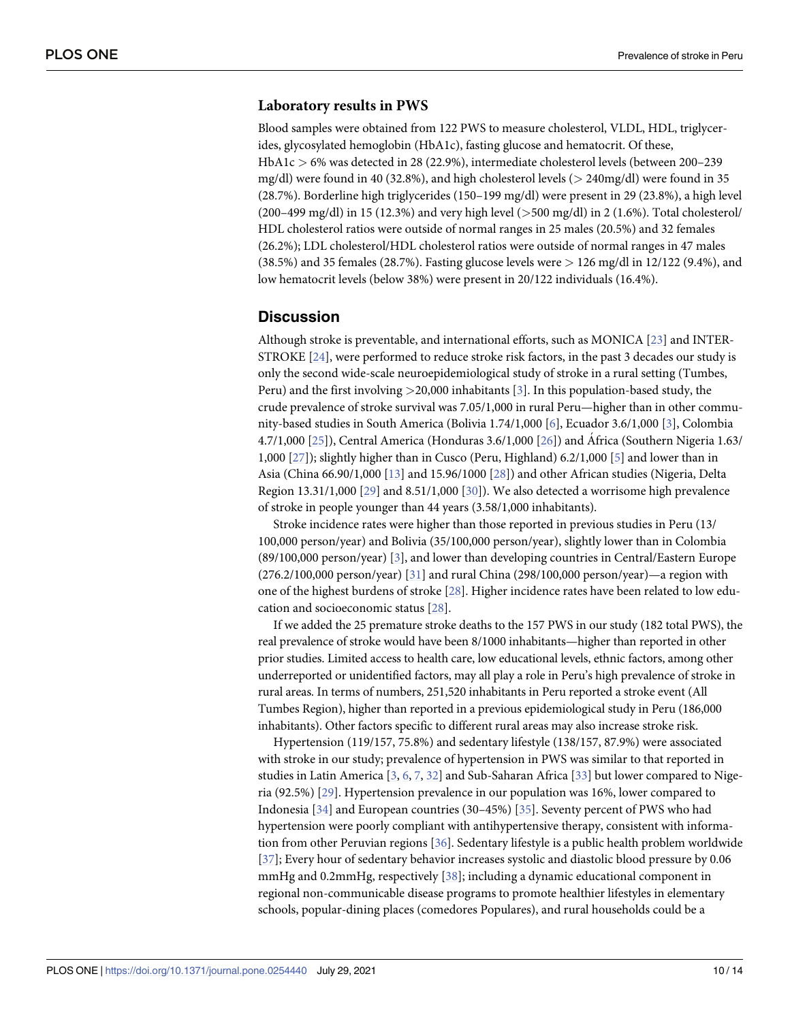#### <span id="page-9-0"></span>**Laboratory results in PWS**

Blood samples were obtained from 122 PWS to measure cholesterol, VLDL, HDL, triglycerides, glycosylated hemoglobin (HbA1c), fasting glucose and hematocrit. Of these, HbA1c *>* 6% was detected in 28 (22.9%), intermediate cholesterol levels (between 200–239 mg/dl) were found in 40 (32.8%), and high cholesterol levels (*>* 240mg/dl) were found in 35 (28.7%). Borderline high triglycerides (150–199 mg/dl) were present in 29 (23.8%), a high level (200–499 mg/dl) in 15 (12.3%) and very high level (*>*500 mg/dl) in 2 (1.6%). Total cholesterol/ HDL cholesterol ratios were outside of normal ranges in 25 males (20.5%) and 32 females (26.2%); LDL cholesterol/HDL cholesterol ratios were outside of normal ranges in 47 males (38.5%) and 35 females (28.7%). Fasting glucose levels were *>* 126 mg/dl in 12/122 (9.4%), and low hematocrit levels (below 38%) were present in 20/122 individuals (16.4%).

#### **Discussion**

Although stroke is preventable, and international efforts, such as MONICA [\[23\]](#page-12-0) and INTER-STROKE [[24](#page-12-0)], were performed to reduce stroke risk factors, in the past 3 decades our study is only the second wide-scale neuroepidemiological study of stroke in a rural setting (Tumbes, Peru) and the first involving *>*20,000 inhabitants [[3](#page-11-0)]. In this population-based study, the crude prevalence of stroke survival was 7.05/1,000 in rural Peru—higher than in other community-based studies in South America (Bolivia 1.74/1,000 [\[6\]](#page-12-0), Ecuador 3.6/1,000 [\[3](#page-11-0)], Colombia 4.7/1,000 [[25](#page-13-0)]), Central America (Honduras 3.6/1,000 [\[26\]](#page-13-0)) and África (Southern Nigeria 1.63/ 1,000 [[27](#page-13-0)]); slightly higher than in Cusco (Peru, Highland) 6.2/1,000 [\[5](#page-12-0)] and lower than in Asia (China 66.90/1,000 [\[13\]](#page-12-0) and 15.96/1000 [[28](#page-13-0)]) and other African studies (Nigeria, Delta Region 13.31/1,000 [\[29\]](#page-13-0) and 8.51/1,000 [\[30\]](#page-13-0)). We also detected a worrisome high prevalence of stroke in people younger than 44 years (3.58/1,000 inhabitants).

Stroke incidence rates were higher than those reported in previous studies in Peru (13/ 100,000 person/year) and Bolivia (35/100,000 person/year), slightly lower than in Colombia (89/100,000 person/year) [[3](#page-11-0)], and lower than developing countries in Central/Eastern Europe (276.2/100,000 person/year) [\[31\]](#page-13-0) and rural China (298/100,000 person/year)—a region with one of the highest burdens of stroke [[28](#page-13-0)]. Higher incidence rates have been related to low education and socioeconomic status [[28](#page-13-0)].

If we added the 25 premature stroke deaths to the 157 PWS in our study (182 total PWS), the real prevalence of stroke would have been 8/1000 inhabitants—higher than reported in other prior studies. Limited access to health care, low educational levels, ethnic factors, among other underreported or unidentified factors, may all play a role in Peru's high prevalence of stroke in rural areas. In terms of numbers, 251,520 inhabitants in Peru reported a stroke event (All Tumbes Region), higher than reported in a previous epidemiological study in Peru (186,000 inhabitants). Other factors specific to different rural areas may also increase stroke risk.

Hypertension (119/157, 75.8%) and sedentary lifestyle (138/157, 87.9%) were associated with stroke in our study; prevalence of hypertension in PWS was similar to that reported in studies in Latin America [[3,](#page-11-0) [6,](#page-12-0) [7,](#page-12-0) [32\]](#page-13-0) and Sub-Saharan Africa [[33](#page-13-0)] but lower compared to Nigeria (92.5%) [\[29\]](#page-13-0). Hypertension prevalence in our population was 16%, lower compared to Indonesia [\[34\]](#page-13-0) and European countries (30–45%) [\[35\]](#page-13-0). Seventy percent of PWS who had hypertension were poorly compliant with antihypertensive therapy, consistent with information from other Peruvian regions [\[36\]](#page-13-0). Sedentary lifestyle is a public health problem worldwide [\[37\]](#page-13-0); Every hour of sedentary behavior increases systolic and diastolic blood pressure by 0.06 mmHg and 0.2mmHg, respectively [\[38\]](#page-13-0); including a dynamic educational component in regional non-communicable disease programs to promote healthier lifestyles in elementary schools, popular-dining places (comedores Populares), and rural households could be a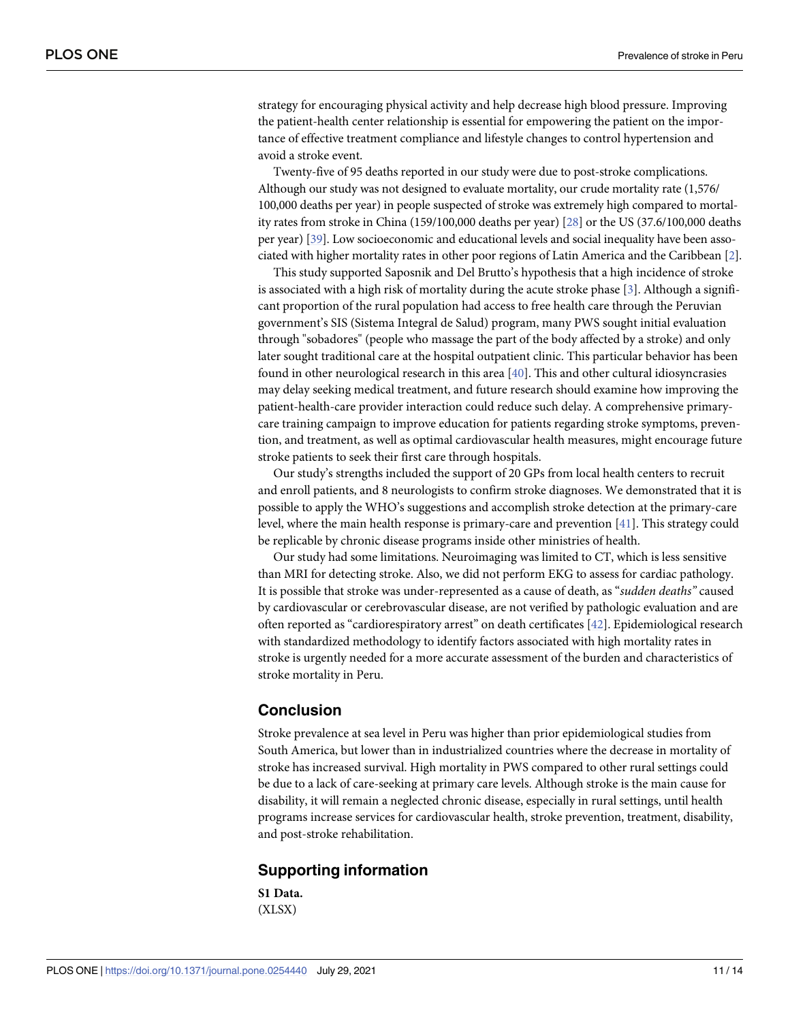<span id="page-10-0"></span>strategy for encouraging physical activity and help decrease high blood pressure. Improving the patient-health center relationship is essential for empowering the patient on the importance of effective treatment compliance and lifestyle changes to control hypertension and avoid a stroke event.

Twenty-five of 95 deaths reported in our study were due to post-stroke complications. Although our study was not designed to evaluate mortality, our crude mortality rate (1,576/ 100,000 deaths per year) in people suspected of stroke was extremely high compared to mortality rates from stroke in China (159/100,000 deaths per year) [\[28\]](#page-13-0) or the US (37.6/100,000 deaths per year) [[39\]](#page-13-0). Low socioeconomic and educational levels and social inequality have been associated with higher mortality rates in other poor regions of Latin America and the Caribbean [\[2\]](#page-11-0).

This study supported Saposnik and Del Brutto's hypothesis that a high incidence of stroke is associated with a high risk of mortality during the acute stroke phase [\[3](#page-11-0)]. Although a significant proportion of the rural population had access to free health care through the Peruvian government's SIS (Sistema Integral de Salud) program, many PWS sought initial evaluation through "sobadores" (people who massage the part of the body affected by a stroke) and only later sought traditional care at the hospital outpatient clinic. This particular behavior has been found in other neurological research in this area [[40](#page-13-0)]. This and other cultural idiosyncrasies may delay seeking medical treatment, and future research should examine how improving the patient-health-care provider interaction could reduce such delay. A comprehensive primarycare training campaign to improve education for patients regarding stroke symptoms, prevention, and treatment, as well as optimal cardiovascular health measures, might encourage future stroke patients to seek their first care through hospitals.

Our study's strengths included the support of 20 GPs from local health centers to recruit and enroll patients, and 8 neurologists to confirm stroke diagnoses. We demonstrated that it is possible to apply the WHO's suggestions and accomplish stroke detection at the primary-care level, where the main health response is primary-care and prevention [\[41\]](#page-13-0). This strategy could be replicable by chronic disease programs inside other ministries of health.

Our study had some limitations. Neuroimaging was limited to CT, which is less sensitive than MRI for detecting stroke. Also, we did not perform EKG to assess for cardiac pathology. It is possible that stroke was under-represented as a cause of death, as "*sudden deaths"* caused by cardiovascular or cerebrovascular disease, are not verified by pathologic evaluation and are often reported as "cardiorespiratory arrest" on death certificates [\[42\]](#page-13-0). Epidemiological research with standardized methodology to identify factors associated with high mortality rates in stroke is urgently needed for a more accurate assessment of the burden and characteristics of stroke mortality in Peru.

### **Conclusion**

Stroke prevalence at sea level in Peru was higher than prior epidemiological studies from South America, but lower than in industrialized countries where the decrease in mortality of stroke has increased survival. High mortality in PWS compared to other rural settings could be due to a lack of care-seeking at primary care levels. Although stroke is the main cause for disability, it will remain a neglected chronic disease, especially in rural settings, until health programs increase services for cardiovascular health, stroke prevention, treatment, disability, and post-stroke rehabilitation.

# **Supporting information**

**S1 [Data](http://www.plosone.org/article/fetchSingleRepresentation.action?uri=info:doi/10.1371/journal.pone.0254440.s001).** (XLSX)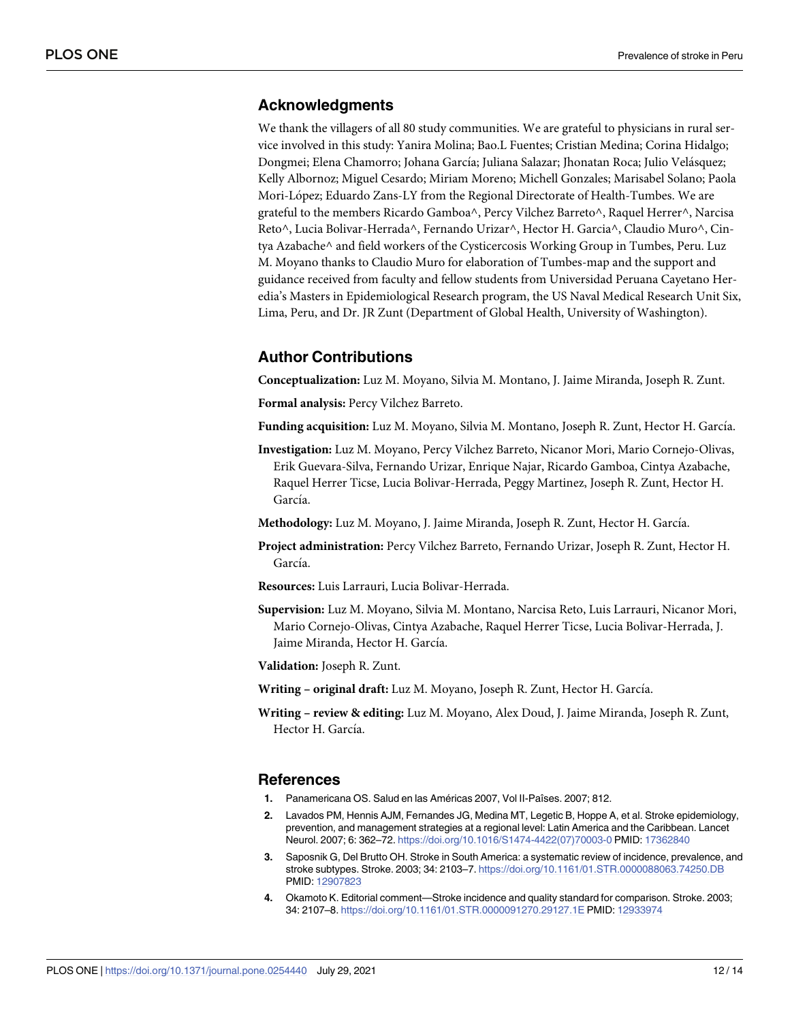## <span id="page-11-0"></span>**Acknowledgments**

We thank the villagers of all 80 study communities. We are grateful to physicians in rural service involved in this study: Yanira Molina; Bao.L Fuentes; Cristian Medina; Corina Hidalgo; Dongmei; Elena Chamorro; Johana García; Juliana Salazar; Jhonatan Roca; Julio Velásquez; Kelly Albornoz; Miguel Cesardo; Miriam Moreno; Michell Gonzales; Marisabel Solano; Paola Mori-López; Eduardo Zans-LY from the Regional Directorate of Health-Tumbes. We are grateful to the members Ricardo Gamboa^, Percy Vilchez Barreto^, Raquel Herrer^, Narcisa Reto^, Lucia Bolivar-Herrada^, Fernando Urizar^, Hector H. Garcia^, Claudio Muro^, Cintya Azabache^ and field workers of the Cysticercosis Working Group in Tumbes, Peru. Luz M. Moyano thanks to Claudio Muro for elaboration of Tumbes-map and the support and guidance received from faculty and fellow students from Universidad Peruana Cayetano Heredia's Masters in Epidemiological Research program, the US Naval Medical Research Unit Six, Lima, Peru, and Dr. JR Zunt (Department of Global Health, University of Washington).

# **Author Contributions**

**Conceptualization:** Luz M. Moyano, Silvia M. Montano, J. Jaime Miranda, Joseph R. Zunt.

**Formal analysis:** Percy Vilchez Barreto.

Funding acquisition: Luz M. Moyano, Silvia M. Montano, Joseph R. Zunt, Hector H. García.

**Investigation:** Luz M. Moyano, Percy Vilchez Barreto, Nicanor Mori, Mario Cornejo-Olivas, Erik Guevara-Silva, Fernando Urizar, Enrique Najar, Ricardo Gamboa, Cintya Azabache, Raquel Herrer Ticse, Lucia Bolivar-Herrada, Peggy Martinez, Joseph R. Zunt, Hector H. García.

**Methodology:** Luz M. Moyano, J. Jaime Miranda, Joseph R. Zunt, Hector H. Garcı´a.

- **Project administration:** Percy Vilchez Barreto, Fernando Urizar, Joseph R. Zunt, Hector H. García.
- **Resources:** Luis Larrauri, Lucia Bolivar-Herrada.
- **Supervision:** Luz M. Moyano, Silvia M. Montano, Narcisa Reto, Luis Larrauri, Nicanor Mori, Mario Cornejo-Olivas, Cintya Azabache, Raquel Herrer Ticse, Lucia Bolivar-Herrada, J. Jaime Miranda, Hector H. García.
- **Validation:** Joseph R. Zunt.
- **Writing – original draft:** Luz M. Moyano, Joseph R. Zunt, Hector H. Garcı´a.
- **Writing – review & editing:** Luz M. Moyano, Alex Doud, J. Jaime Miranda, Joseph R. Zunt, Hector H. García.

#### **References**

- **[1](#page-1-0).** Panamericana OS. Salud en las Américas 2007, Vol II-Paîses. 2007; 812.
- **[2](#page-1-0).** Lavados PM, Hennis AJM, Fernandes JG, Medina MT, Legetic B, Hoppe A, et al. Stroke epidemiology, prevention, and management strategies at a regional level: Latin America and the Caribbean. Lancet Neurol. 2007; 6: 362–72. [https://doi.org/10.1016/S1474-4422\(07\)70003-0](https://doi.org/10.1016/S1474-4422%2807%2970003-0) PMID: [17362840](http://www.ncbi.nlm.nih.gov/pubmed/17362840)
- **[3](#page-1-0).** Saposnik G, Del Brutto OH. Stroke in South America: a systematic review of incidence, prevalence, and stroke subtypes. Stroke. 2003; 34: 2103–7. <https://doi.org/10.1161/01.STR.0000088063.74250.DB> PMID: [12907823](http://www.ncbi.nlm.nih.gov/pubmed/12907823)
- **[4](#page-1-0).** Okamoto K. Editorial comment—Stroke incidence and quality standard for comparison. Stroke. 2003; 34: 2107–8. <https://doi.org/10.1161/01.STR.0000091270.29127.1E> PMID: [12933974](http://www.ncbi.nlm.nih.gov/pubmed/12933974)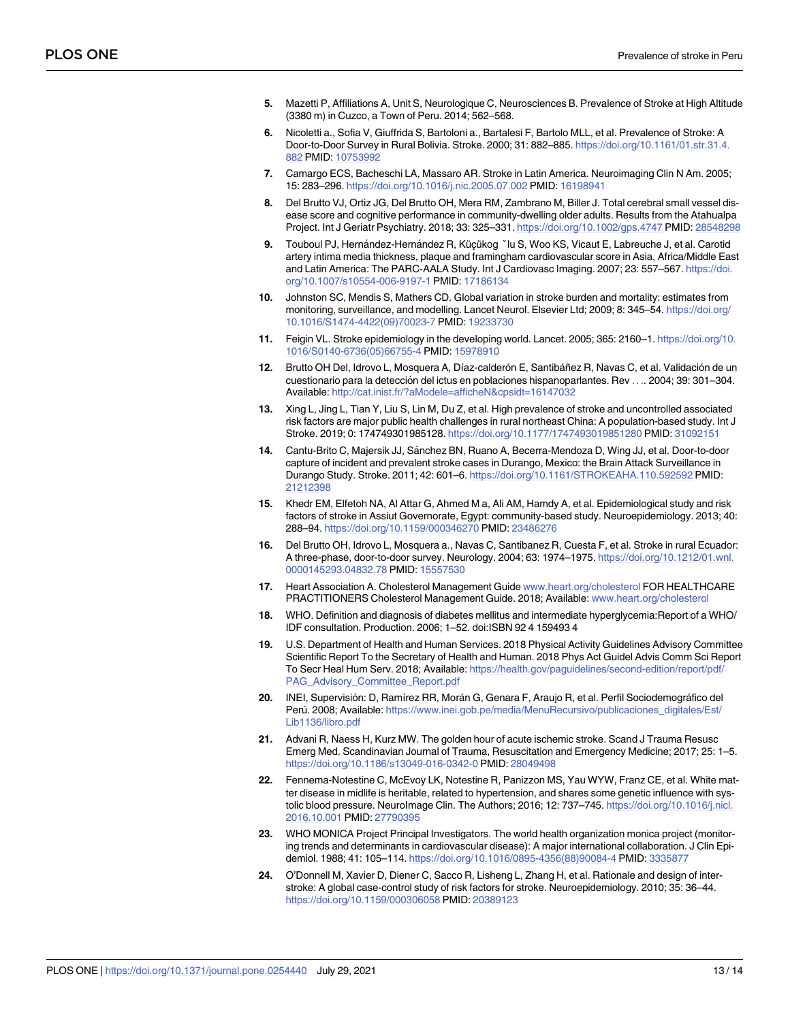- <span id="page-12-0"></span>**[5](#page-1-0).** Mazetti P, Affiliations A, Unit S, Neurologique C, Neurosciences B. Prevalence of Stroke at High Altitude (3380 m) in Cuzco, a Town of Peru. 2014; 562–568.
- **[6](#page-1-0).** Nicoletti a., Sofia V, Giuffrida S, Bartoloni a., Bartalesi F, Bartolo MLL, et al. Prevalence of Stroke: A Door-to-Door Survey in Rural Bolivia. Stroke. 2000; 31: 882–885. [https://doi.org/10.1161/01.str.31.4.](https://doi.org/10.1161/01.str.31.4.882) [882](https://doi.org/10.1161/01.str.31.4.882) PMID: [10753992](http://www.ncbi.nlm.nih.gov/pubmed/10753992)
- **[7](#page-1-0).** Camargo ECS, Bacheschi LA, Massaro AR. Stroke in Latin America. Neuroimaging Clin N Am. 2005; 15: 283–296. <https://doi.org/10.1016/j.nic.2005.07.002> PMID: [16198941](http://www.ncbi.nlm.nih.gov/pubmed/16198941)
- **[8](#page-1-0).** Del Brutto VJ, Ortiz JG, Del Brutto OH, Mera RM, Zambrano M, Biller J. Total cerebral small vessel disease score and cognitive performance in community-dwelling older adults. Results from the Atahualpa Project. Int J Geriatr Psychiatry. 2018; 33: 325–331. <https://doi.org/10.1002/gps.4747> PMID: [28548298](http://www.ncbi.nlm.nih.gov/pubmed/28548298)
- **[9](#page-1-0).** Touboul PJ, Hernández-Hernández R, Küçükog <sup>×</sup>lu S, Woo KS, Vicaut E, Labreuche J, et al. Carotid artery intima media thickness, plaque and framingham cardiovascular score in Asia, Africa/Middle East and Latin America: The PARC-AALA Study. Int J Cardiovasc Imaging. 2007; 23: 557–567. [https://doi.](https://doi.org/10.1007/s10554-006-9197-1) [org/10.1007/s10554-006-9197-1](https://doi.org/10.1007/s10554-006-9197-1) PMID: [17186134](http://www.ncbi.nlm.nih.gov/pubmed/17186134)
- **[10](#page-1-0).** Johnston SC, Mendis S, Mathers CD. Global variation in stroke burden and mortality: estimates from monitoring, surveillance, and modelling. Lancet Neurol. Elsevier Ltd; 2009; 8: 345–54. [https://doi.org/](https://doi.org/10.1016/S1474-4422%2809%2970023-7) [10.1016/S1474-4422\(09\)70023-7](https://doi.org/10.1016/S1474-4422%2809%2970023-7) PMID: [19233730](http://www.ncbi.nlm.nih.gov/pubmed/19233730)
- **[11](#page-1-0).** Feigin VL. Stroke epidemiology in the developing world. Lancet. 2005; 365: 2160–1. [https://doi.org/10.](https://doi.org/10.1016/S0140-6736%2805%2966755-4) [1016/S0140-6736\(05\)66755-4](https://doi.org/10.1016/S0140-6736%2805%2966755-4) PMID: [15978910](http://www.ncbi.nlm.nih.gov/pubmed/15978910)
- [12](#page-2-0). Brutto OH Del, Idrovo L, Mosquera A, Díaz-calderón E, Santibáñez R, Navas C, et al. Validación de un cuestionario para la detección del ictus en poblaciones hispanoparlantes. Rev . . . 2004; 39: 301-304. Available: <http://cat.inist.fr/?aModele=afficheN&cpsidt=16147032>
- **[13](#page-2-0).** Xing L, Jing L, Tian Y, Liu S, Lin M, Du Z, et al. High prevalence of stroke and uncontrolled associated risk factors are major public health challenges in rural northeast China: A population-based study. Int J Stroke. 2019; 0: 174749301985128. <https://doi.org/10.1177/1747493019851280> PMID: [31092151](http://www.ncbi.nlm.nih.gov/pubmed/31092151)
- **[14](#page-2-0).** Cantu-Brito C, Majersik JJ, Sánchez BN, Ruano A, Becerra-Mendoza D, Wing JJ, et al. Door-to-door capture of incident and prevalent stroke cases in Durango, Mexico: the Brain Attack Surveillance in Durango Study. Stroke. 2011; 42: 601–6. <https://doi.org/10.1161/STROKEAHA.110.592592> PMID: [21212398](http://www.ncbi.nlm.nih.gov/pubmed/21212398)
- **15.** Khedr EM, Elfetoh NA, Al Attar G, Ahmed M a, Ali AM, Hamdy A, et al. Epidemiological study and risk factors of stroke in Assiut Governorate, Egypt: community-based study. Neuroepidemiology. 2013; 40: 288–94. <https://doi.org/10.1159/000346270> PMID: [23486276](http://www.ncbi.nlm.nih.gov/pubmed/23486276)
- **[16](#page-2-0).** Del Brutto OH, Idrovo L, Mosquera a., Navas C, Santibanez R, Cuesta F, et al. Stroke in rural Ecuador: A three-phase, door-to-door survey. Neurology. 2004; 63: 1974–1975. [https://doi.org/10.1212/01.wnl.](https://doi.org/10.1212/01.wnl.0000145293.04832.78) [0000145293.04832.78](https://doi.org/10.1212/01.wnl.0000145293.04832.78) PMID: [15557530](http://www.ncbi.nlm.nih.gov/pubmed/15557530)
- **[17](#page-3-0).** Heart Association A. Cholesterol Management Guide [www.heart.org/cholesterol](http://www.heart.org/cholesterol) FOR HEALTHCARE PRACTITIONERS Cholesterol Management Guide. 2018; Available: [www.heart.org/cholesterol](http://www.heart.org/cholesterol)
- **[18](#page-3-0).** WHO. Definition and diagnosis of diabetes mellitus and intermediate hyperglycemia:Report of a WHO/ IDF consultation. Production. 2006; 1–52. doi:ISBN 92 4 159493 4
- **[19](#page-3-0).** U.S. Department of Health and Human Services. 2018 Physical Activity Guidelines Advisory Committee Scientific Report To the Secretary of Health and Human. 2018 Phys Act Guidel Advis Comm Sci Report To Secr Heal Hum Serv. 2018; Available: [https://health.gov/paguidelines/second-edition/report/pdf/](https://health.gov/paguidelines/second-edition/report/pdf/PAG_Advisory_Committee_Report.pdf) [PAG\\_Advisory\\_Committee\\_Report.pdf](https://health.gov/paguidelines/second-edition/report/pdf/PAG_Advisory_Committee_Report.pdf)
- **[20](#page-6-0).** INEI, Supervisión: D, Ramírez RR, Morán G, Genara F, Araujo R, et al. Perfil Sociodemográfico del Perú. 2008; Available: [https://www.inei.gob.pe/media/MenuRecursivo/publicaciones\\_digitales/Est/](https://www.inei.gob.pe/media/MenuRecursivo/publicaciones_digitales/Est/Lib1136/libro.pdf) [Lib1136/libro.pdf](https://www.inei.gob.pe/media/MenuRecursivo/publicaciones_digitales/Est/Lib1136/libro.pdf)
- **[21](#page-6-0).** Advani R, Naess H, Kurz MW. The golden hour of acute ischemic stroke. Scand J Trauma Resusc Emerg Med. Scandinavian Journal of Trauma, Resuscitation and Emergency Medicine; 2017; 25: 1–5. <https://doi.org/10.1186/s13049-016-0342-0> PMID: [28049498](http://www.ncbi.nlm.nih.gov/pubmed/28049498)
- **[22](#page-6-0).** Fennema-Notestine C, McEvoy LK, Notestine R, Panizzon MS, Yau WYW, Franz CE, et al. White matter disease in midlife is heritable, related to hypertension, and shares some genetic influence with systolic blood pressure. NeuroImage Clin. The Authors; 2016; 12: 737-745. [https://doi.org/10.1016/j.nicl.](https://doi.org/10.1016/j.nicl.2016.10.001) [2016.10.001](https://doi.org/10.1016/j.nicl.2016.10.001) PMID: [27790395](http://www.ncbi.nlm.nih.gov/pubmed/27790395)
- **[23](#page-9-0).** WHO MONICA Project Principal Investigators. The world health organization monica project (monitoring trends and determinants in cardiovascular disease): A major international collaboration. J Clin Epidemiol. 1988; 41: 105–114. [https://doi.org/10.1016/0895-4356\(88\)90084-4](https://doi.org/10.1016/0895-4356%2888%2990084-4) PMID: [3335877](http://www.ncbi.nlm.nih.gov/pubmed/3335877)
- **[24](#page-9-0).** O'Donnell M, Xavier D, Diener C, Sacco R, Lisheng L, Zhang H, et al. Rationale and design of interstroke: A global case-control study of risk factors for stroke. Neuroepidemiology. 2010; 35: 36–44. <https://doi.org/10.1159/000306058> PMID: [20389123](http://www.ncbi.nlm.nih.gov/pubmed/20389123)